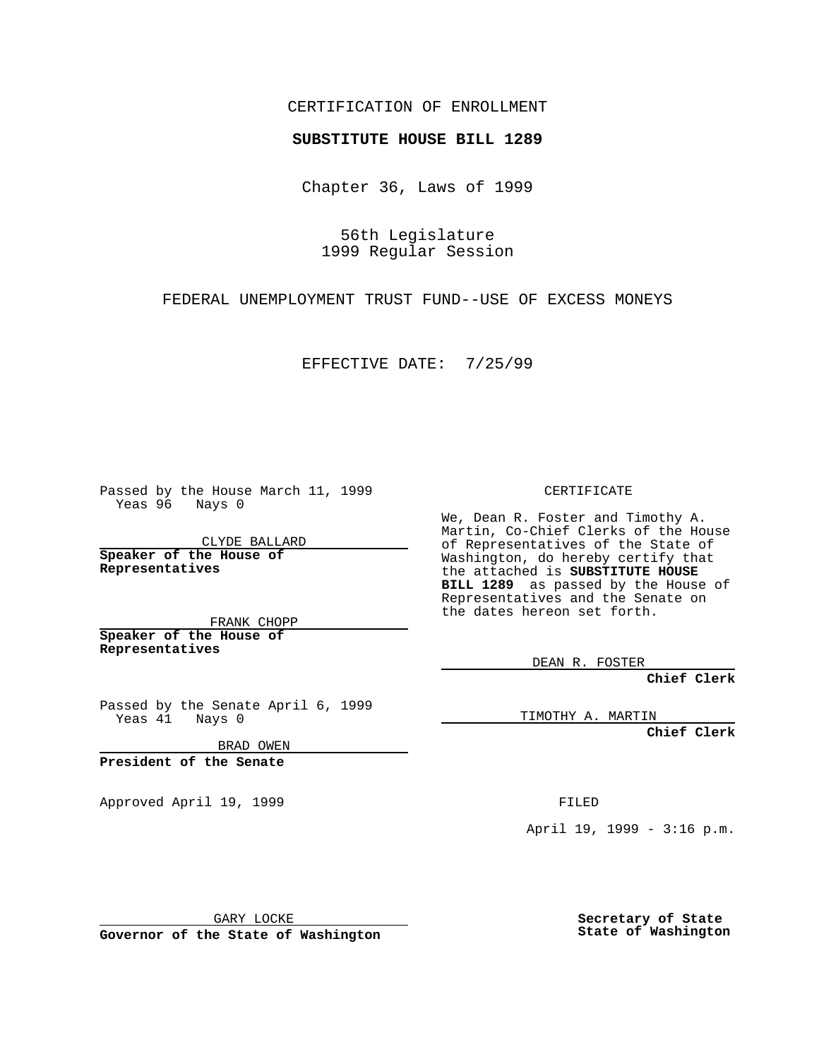## CERTIFICATION OF ENROLLMENT

## **SUBSTITUTE HOUSE BILL 1289**

Chapter 36, Laws of 1999

56th Legislature 1999 Regular Session

FEDERAL UNEMPLOYMENT TRUST FUND--USE OF EXCESS MONEYS

EFFECTIVE DATE: 7/25/99

Passed by the House March 11, 1999 Yeas 96 Nays 0

CLYDE BALLARD **Speaker of the House of Representatives**

FRANK CHOPP **Speaker of the House of Representatives**

Passed by the Senate April 6, 1999 Yeas 41 Nays 0

BRAD OWEN

**President of the Senate**

Approved April 19, 1999 **FILED** 

CERTIFICATE

We, Dean R. Foster and Timothy A. Martin, Co-Chief Clerks of the House of Representatives of the State of Washington, do hereby certify that the attached is **SUBSTITUTE HOUSE BILL 1289** as passed by the House of Representatives and the Senate on the dates hereon set forth.

DEAN R. FOSTER

**Chief Clerk**

TIMOTHY A. MARTIN

**Chief Clerk**

April 19, 1999 - 3:16 p.m.

GARY LOCKE

**Governor of the State of Washington**

**Secretary of State State of Washington**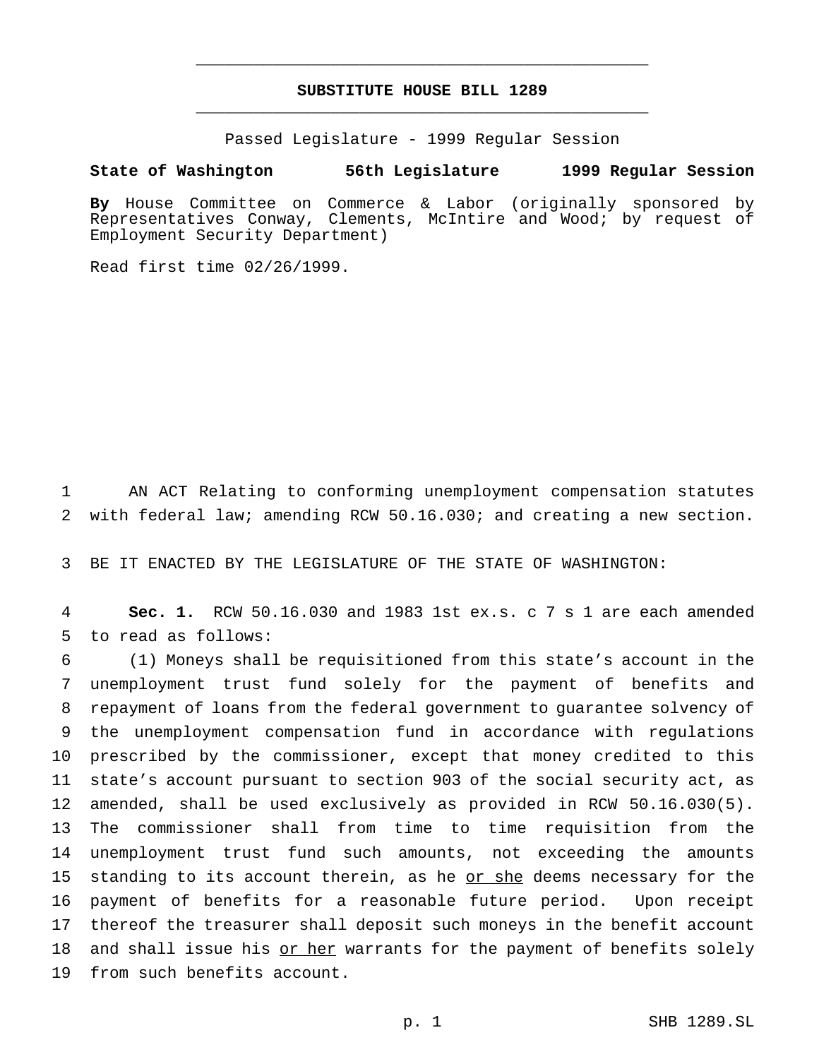## **SUBSTITUTE HOUSE BILL 1289** \_\_\_\_\_\_\_\_\_\_\_\_\_\_\_\_\_\_\_\_\_\_\_\_\_\_\_\_\_\_\_\_\_\_\_\_\_\_\_\_\_\_\_\_\_\_\_

\_\_\_\_\_\_\_\_\_\_\_\_\_\_\_\_\_\_\_\_\_\_\_\_\_\_\_\_\_\_\_\_\_\_\_\_\_\_\_\_\_\_\_\_\_\_\_

Passed Legislature - 1999 Regular Session

**State of Washington 56th Legislature 1999 Regular Session**

**By** House Committee on Commerce & Labor (originally sponsored by Representatives Conway, Clements, McIntire and Wood; by request of Employment Security Department)

Read first time 02/26/1999.

 AN ACT Relating to conforming unemployment compensation statutes with federal law; amending RCW 50.16.030; and creating a new section.

BE IT ENACTED BY THE LEGISLATURE OF THE STATE OF WASHINGTON:

 **Sec. 1.** RCW 50.16.030 and 1983 1st ex.s. c 7 s 1 are each amended to read as follows:

 (1) Moneys shall be requisitioned from this state's account in the unemployment trust fund solely for the payment of benefits and repayment of loans from the federal government to guarantee solvency of the unemployment compensation fund in accordance with regulations prescribed by the commissioner, except that money credited to this state's account pursuant to section 903 of the social security act, as amended, shall be used exclusively as provided in RCW 50.16.030(5). The commissioner shall from time to time requisition from the unemployment trust fund such amounts, not exceeding the amounts standing to its account therein, as he or she deems necessary for the payment of benefits for a reasonable future period. Upon receipt thereof the treasurer shall deposit such moneys in the benefit account 18 and shall issue his or her warrants for the payment of benefits solely from such benefits account.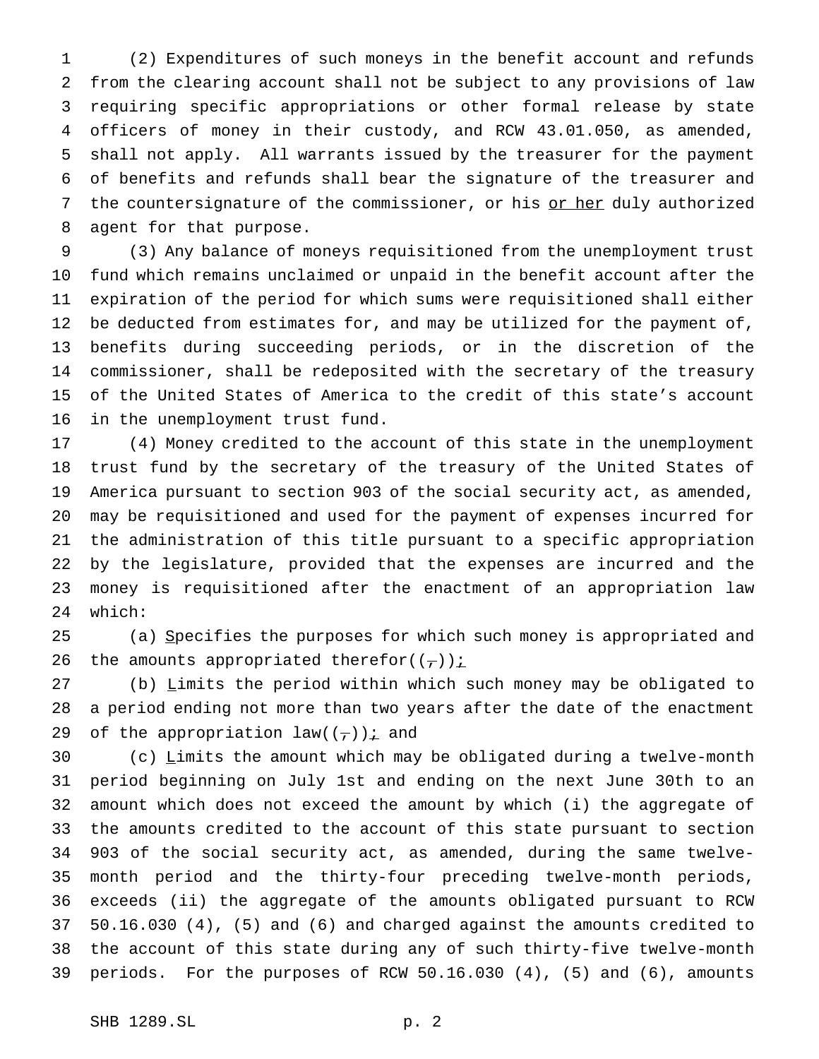(2) Expenditures of such moneys in the benefit account and refunds from the clearing account shall not be subject to any provisions of law requiring specific appropriations or other formal release by state officers of money in their custody, and RCW 43.01.050, as amended, shall not apply. All warrants issued by the treasurer for the payment of benefits and refunds shall bear the signature of the treasurer and 7 the countersignature of the commissioner, or his or her duly authorized agent for that purpose.

 (3) Any balance of moneys requisitioned from the unemployment trust fund which remains unclaimed or unpaid in the benefit account after the expiration of the period for which sums were requisitioned shall either be deducted from estimates for, and may be utilized for the payment of, benefits during succeeding periods, or in the discretion of the commissioner, shall be redeposited with the secretary of the treasury of the United States of America to the credit of this state's account in the unemployment trust fund.

 (4) Money credited to the account of this state in the unemployment trust fund by the secretary of the treasury of the United States of America pursuant to section 903 of the social security act, as amended, may be requisitioned and used for the payment of expenses incurred for the administration of this title pursuant to a specific appropriation by the legislature, provided that the expenses are incurred and the money is requisitioned after the enactment of an appropriation law which:

 (a) Specifies the purposes for which such money is appropriated and 26 the amounts appropriated therefor( $(\tau)$ ) i

 (b) Limits the period within which such money may be obligated to a period ending not more than two years after the date of the enactment 29 of the appropriation law( $(\tau)$ ) *i* and

 (c) Limits the amount which may be obligated during a twelve-month period beginning on July 1st and ending on the next June 30th to an amount which does not exceed the amount by which (i) the aggregate of the amounts credited to the account of this state pursuant to section 903 of the social security act, as amended, during the same twelve- month period and the thirty-four preceding twelve-month periods, exceeds (ii) the aggregate of the amounts obligated pursuant to RCW 50.16.030 (4), (5) and (6) and charged against the amounts credited to the account of this state during any of such thirty-five twelve-month periods. For the purposes of RCW 50.16.030 (4), (5) and (6), amounts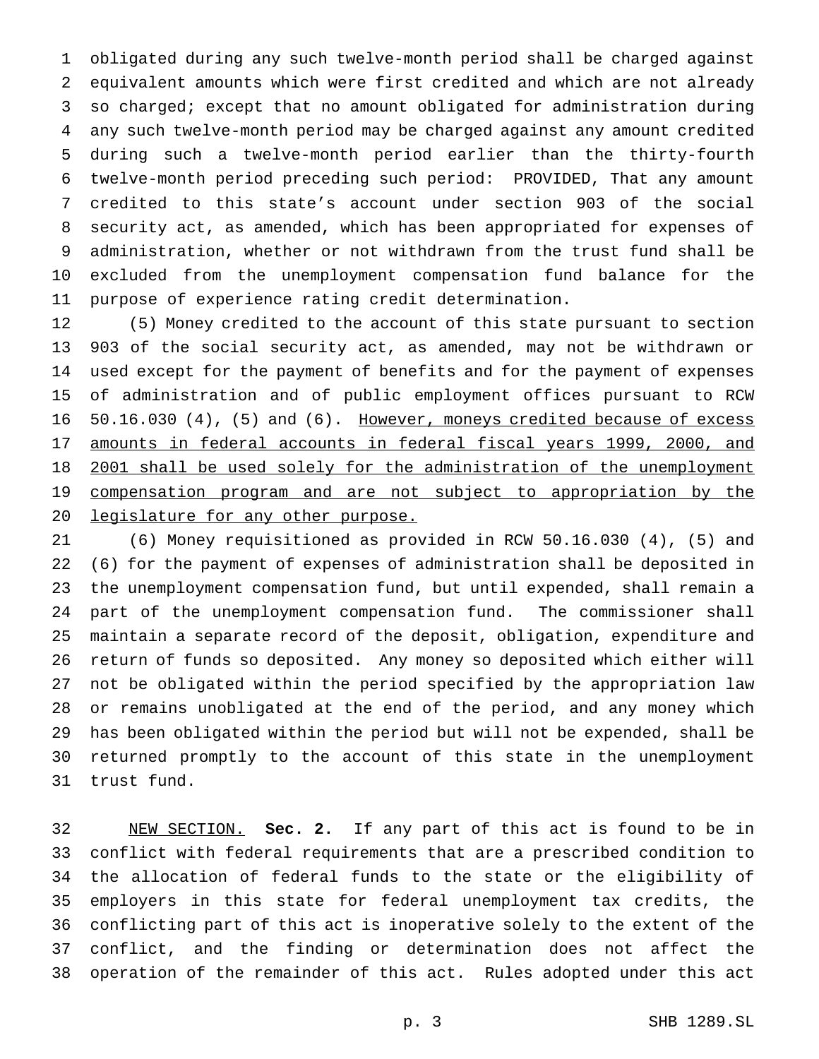obligated during any such twelve-month period shall be charged against equivalent amounts which were first credited and which are not already so charged; except that no amount obligated for administration during any such twelve-month period may be charged against any amount credited during such a twelve-month period earlier than the thirty-fourth twelve-month period preceding such period: PROVIDED, That any amount credited to this state's account under section 903 of the social security act, as amended, which has been appropriated for expenses of administration, whether or not withdrawn from the trust fund shall be excluded from the unemployment compensation fund balance for the purpose of experience rating credit determination.

 (5) Money credited to the account of this state pursuant to section 903 of the social security act, as amended, may not be withdrawn or used except for the payment of benefits and for the payment of expenses of administration and of public employment offices pursuant to RCW 16 50.16.030 (4), (5) and (6). However, moneys credited because of excess amounts in federal accounts in federal fiscal years 1999, 2000, and 2001 shall be used solely for the administration of the unemployment compensation program and are not subject to appropriation by the 20 legislature for any other purpose.

 (6) Money requisitioned as provided in RCW 50.16.030 (4), (5) and (6) for the payment of expenses of administration shall be deposited in the unemployment compensation fund, but until expended, shall remain a part of the unemployment compensation fund. The commissioner shall maintain a separate record of the deposit, obligation, expenditure and return of funds so deposited. Any money so deposited which either will not be obligated within the period specified by the appropriation law or remains unobligated at the end of the period, and any money which has been obligated within the period but will not be expended, shall be returned promptly to the account of this state in the unemployment trust fund.

 NEW SECTION. **Sec. 2.** If any part of this act is found to be in conflict with federal requirements that are a prescribed condition to the allocation of federal funds to the state or the eligibility of employers in this state for federal unemployment tax credits, the conflicting part of this act is inoperative solely to the extent of the conflict, and the finding or determination does not affect the operation of the remainder of this act. Rules adopted under this act